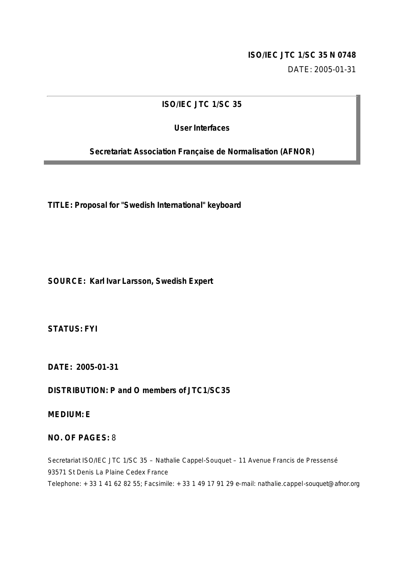### **ISO/IEC JTC 1/SC 35 N 0748**

DATE: 2005-01-31

## **ISO/IEC JTC 1/SC 35**

## **User Interfaces**

**Secretariat: Association Française de Normalisation (AFNOR)**

**TITLE: Proposal for "Swedish International" keyboard**

**SOURCE: Karl Ivar Larsson, Swedish Expert**

**STATUS: FYI**

**DATE: 2005-01-31** 

**DISTRIBUTION: P and O members of JTC1/SC35**

**MEDIUM: E**

#### **NO. OF PAGES:** 8

Secretariat ISO/IEC JTC 1/SC 35 – Nathalie Cappel-Souquet – 11 Avenue Francis de Pressensé 93571 St Denis La Plaine Cedex France Telephone: + 33 1 41 62 82 55; Facsimile: + 33 1 49 17 91 29 e-mail: nathalie.cappel-souquet@afnor.org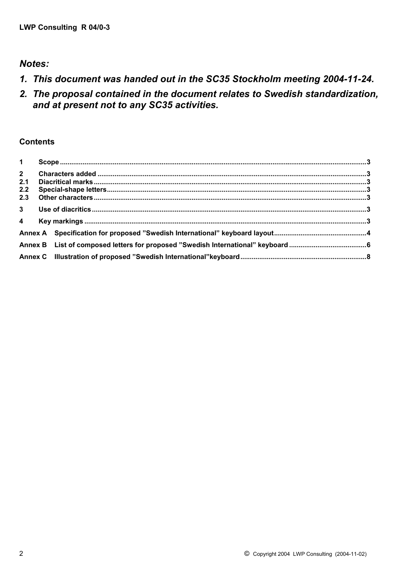## *Notes:*

- *1. This document was handed out in the SC35 Stockholm meeting 2004-11-24.*
- *2. The proposal contained in the document relates to Swedish standardization, and at present not to any SC35 activities.*

## **Contents**

| $2^{\sim}$ |  |
|------------|--|
| 2.1        |  |
| 2.2        |  |
| 2.3        |  |
|            |  |
|            |  |
|            |  |
|            |  |
|            |  |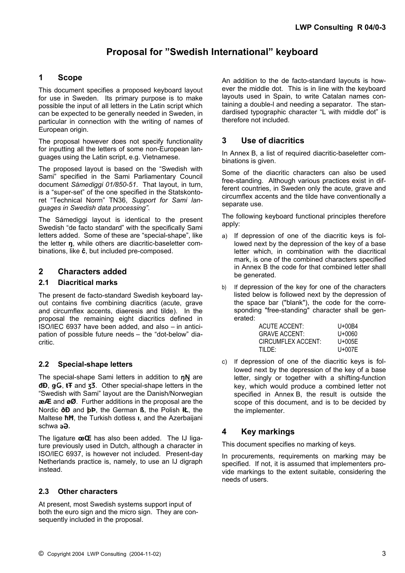## **Proposal for "Swedish International" keyboard**

#### **1 Scope**

This document specifies a proposed keyboard layout for use in Sweden. Its primary purpose is to make possible the input of all letters in the Latin script which can be expected to be generally needed in Sweden, in particular in connection with the writing of names of European origin.

The proposal however does not specify functionality for inputting all the letters of some non-European languages using the Latin script, e.g. Vietnamese.

The proposed layout is based on the "Swedish with Sami" specified in the Sami Parliamentary Council document *Sámediggi 01/850-51*. That layout, in turn, is a "super-set" of the one specified in the Statskontoret "Technical Norm" TN36, *Support for Sami languages in Swedish data processing"*.

The Sámediggi layout is identical to the present Swedish "de facto standard" with the specifically Sami letters added. Some of these are "special-shape", like the letter **ŋ**, while others are diacritic-baseletter combinations, like **č**, but included pre-composed.

#### **2 Characters added**

#### **2.1 Diacritical marks**

The present de facto-standard Swedish keyboard layout contains five combining diacritics (acute, grave and circumflex accents, diaeresis and tilde). In the proposal the remaining eight diacritics defined in ISO/IEC 6937 have been added, and also – in anticipation of possible future needs – the "dot-below" diacritic.

#### **2.2 Special-shape letters**

The special-shape Sami letters in addition to nN are **đÐ**, ǥǤ, **ŧŦ** and ʒƷ. Other special-shape letters in the "Swedish with Sami" layout are the Danish/Norwegian **æÆ** and **øØ**. Further additions in the proposal are the Nordic **ðÐ** and **þÞ**, the German **ß**, the Polish **łŁ**, the Maltese **ħĦ**, the Turkish dotless **ı**, and the Azerbaijani schwa aa.

The ligature **œŒ** has also been added. The IJ ligature previously used in Dutch, although a character in ISO/IEC 6937, is however not included. Present-day Netherlands practice is, namely, to use an IJ digraph instead.

#### **2.3 Other characters**

At present, most Swedish systems support input of both the euro sign and the micro sign. They are consequently included in the proposal.

An addition to the de facto-standard layouts is however the middle dot. This is in line with the keyboard layouts used in Spain, to write Catalan names containing a double-l and needing a separator. The standardised typographic character "L with middle dot" is therefore not included.

#### **3 Use of diacritics**

In Annex B, a list of required diacritic-baseletter combinations is given.

Some of the diacritic characters can also be used free-standing. Although various practices exist in different countries, in Sweden only the acute, grave and circumflex accents and the tilde have conventionally a separate use.

The following keyboard functional principles therefore apply:

- a) If depression of one of the diacritic keys is followed next by the depression of the key of a base letter which, in combination with the diacritical mark, is one of the combined characters specified in Annex B the code for that combined letter shall be generated.
- b) If depression of the key for one of the characters listed below is followed next by the depression of the space bar ("blank"), the code for the corresponding "free-standing" character shall be generated:

| ACUTE ACCENT:        | $U + 00B4$ |
|----------------------|------------|
| <b>GRAVE ACCENT:</b> | U+0060     |
| CIRCUMFLEX ACCENT:   | U+005E     |
| TII DE:              | $U+007E$   |

c) If depression of one of the diacritic keys is followed next by the depression of the key of a base letter, singly or together with a shifting-function key, which would produce a combined letter not specified in Annex B, the result is outside the scope of this document, and is to be decided by the implementer.

### **4 Key markings**

This document specifies no marking of keys.

In procurements, requirements on marking may be specified. If not, it is assumed that implementers provide markings to the extent suitable, considering the needs of users.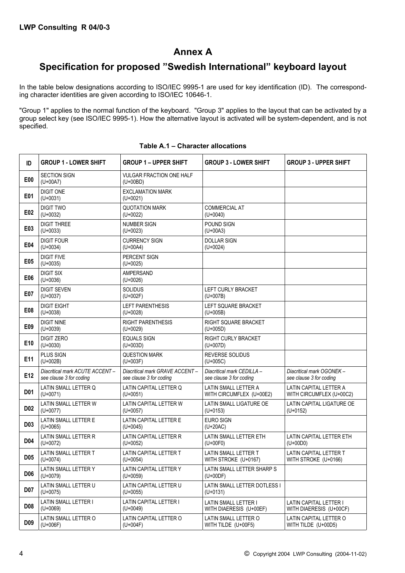## **Annex A**

## **Specification for proposed "Swedish International" keyboard layout**

In the table below designations according to ISO/IEC 9995-1 are used for key identification (ID). The corresponding character identities are given according to ISO/IEC 10646-1.

"Group 1" applies to the normal function of the keyboard. "Group 3" applies to the layout that can be activated by a group select key (see ISO/IEC 9995-1). How the alternative layout is activated will be system-dependent, and is not specified.

| ID               | <b>GROUP 1 - LOWER SHIFT</b>                              | <b>GROUP 1 - UPPER SHIFT</b>                              | <b>GROUP 3 - LOWER SHIFT</b>                          | <b>GROUP 3 - UPPER SHIFT</b>                         |
|------------------|-----------------------------------------------------------|-----------------------------------------------------------|-------------------------------------------------------|------------------------------------------------------|
| E <sub>0</sub>   | <b>SECTION SIGN</b><br>$(U + 00A7)$                       | <b>VULGAR FRACTION ONE HALF</b><br>$(U+00BD)$             |                                                       |                                                      |
| E01              | <b>DIGIT ONE</b><br>$(U+0031)$                            | <b>EXCLAMATION MARK</b><br>$(U+0021)$                     |                                                       |                                                      |
| E02              | <b>DIGIT TWO</b><br>$(U+0032)$                            | <b>QUOTATION MARK</b><br>$(U+0022)$                       | COMMERCIAL AT<br>$(U+0040)$                           |                                                      |
| E03              | <b>DIGIT THREE</b><br>$(U+0033)$                          | NUMBER SIGN<br>$(U+0023)$                                 | POUND SIGN<br>$(U+00A3)$                              |                                                      |
| E04              | <b>DIGIT FOUR</b><br>$(U+0034)$                           | <b>CURRENCY SIGN</b><br>$(U+00A4)$                        | <b>DOLLAR SIGN</b><br>$(U+0024)$                      |                                                      |
| E05              | <b>DIGIT FIVE</b><br>$(U+0035)$                           | PERCENT SIGN<br>$(U+0025)$                                |                                                       |                                                      |
| E06              | <b>DIGIT SIX</b><br>$(U+0036)$                            | <b>AMPERSAND</b><br>$(U+0026)$                            |                                                       |                                                      |
| E07              | <b>DIGIT SEVEN</b><br>$(U+0037)$                          | <b>SOLIDUS</b><br>$(U + 002F)$                            | LEFT CURLY BRACKET<br>$(U+007B)$                      |                                                      |
| E08              | <b>DIGIT EIGHT</b><br>$(U+0038)$                          | <b>LEFT PARENTHESIS</b><br>$(U+0028)$                     | LEFT SQUARE BRACKET<br>$(U+005B)$                     |                                                      |
| E09              | <b>DIGIT NINE</b><br>$(U+0039)$                           | <b>RIGHT PARENTHESIS</b><br>$(U+0029)$                    | RIGHT SQUARE BRACKET<br>$(U+005D)$                    |                                                      |
| E10              | <b>DIGIT ZERO</b><br>$(U+0030)$                           | <b>EQUALS SIGN</b><br>$(U + 003D)$                        | RIGHT CURLY BRACKET<br>$(U+007D)$                     |                                                      |
| E11              | <b>PLUS SIGN</b><br>$(U + 002B)$                          | <b>QUESTION MARK</b><br>$(U+003F)$                        | REVERSE SOLIDUS<br>$(U+005C)$                         |                                                      |
| E12              | Diacritical mark ACUTE ACCENT-<br>see clause 3 for coding | Diacritical mark GRAVE ACCENT-<br>see clause 3 for coding | Diacritical mark CEDILLA -<br>see clause 3 for coding | Diacritical mark OGONEK -<br>see clause 3 for coding |
| D01              | LATIN SMALL LETTER Q<br>$(U+0071)$                        | LATIN CAPITAL LETTER Q<br>$(U+0051)$                      | LATIN SMALL LETTER A<br>WITH CIRCUMFLEX (U+00E2)      | LATIN CAPITAL LETTER A<br>WITH CIRCUMFLEX (U+00C2)   |
| <b>D02</b>       | LATIN SMALL LETTER W<br>$(U+0077)$                        | LATIN CAPITAL LETTER W<br>$(U+0057)$                      | LATIN SMALL LIGATURE OE<br>$(U+0153)$                 | LATIN CAPITAL LIGATURE OE<br>$(U+0152)$              |
| D <sub>0</sub> 3 | LATIN SMALL LETTER E<br>$(U+0065)$                        | LATIN CAPITAL LETTER E<br>$(U+0045)$                      | <b>EURO SIGN</b><br>$(U+20AC)$                        |                                                      |
| D <sub>04</sub>  | LATIN SMALL LETTER R<br>$(U+0072)$                        | LATIN CAPITAL LETTER R<br>$(U+0052)$                      | LATIN SMALL LETTER ETH<br>$(U + 00F0)$                | LATIN CAPITAL LETTER ETH<br>$(U+00D0)$               |
| <b>D05</b>       | LATIN SMALL LETTER T<br>$(U+0074)$                        | LATIN CAPITAL LETTER T<br>$(U+0054)$                      | LATIN SMALL LETTER T<br>WITH STROKE (U+0167)          | LATIN CAPITAL LETTER T<br>WITH STROKE (U+0166)       |
| D <sub>06</sub>  | LATIN SMALL LETTER Y<br>$(U+0079)$                        | LATIN CAPITAL LETTER Y<br>$(U+0059)$                      | LATIN SMALL LETTER SHARP S<br>$(U+00DF)$              |                                                      |
| <b>D07</b>       | LATIN SMALL LETTER U<br>$(U+0075)$                        | LATIN CAPITAL LETTER U<br>$(U+0055)$                      | LATIN SMALL LETTER DOTLESS I<br>$(U+0131)$            |                                                      |
| D <sub>08</sub>  | LATIN SMALL LETTER I<br>$(U+0069)$                        | LATIN CAPITAL LETTER I<br>$(U+0049)$                      | LATIN SMALL LETTER I<br>WITH DIAERESIS (U+00EF)       | LATIN CAPITAL LETTER I<br>WITH DIAERESIS (U+00CF)    |
| D <sub>09</sub>  | LATIN SMALL LETTER O<br>$(U + 006F)$                      | LATIN CAPITAL LETTER O<br>$(U+004F)$                      | LATIN SMALL LETTER O<br>WITH TILDE (U+00F5)           | LATIN CAPITAL LETTER O<br>WITH TILDE (U+00D5)        |

#### **Table A.1 – Character allocations**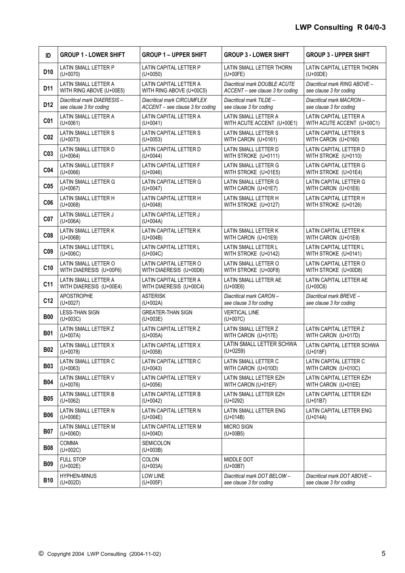| ID              | <b>GROUP 1 - LOWER SHIFT</b>          | <b>GROUP 1 - UPPER SHIFT</b>           | <b>GROUP 3 - LOWER SHIFT</b>       | <b>GROUP 3 - UPPER SHIFT</b>  |
|-----------------|---------------------------------------|----------------------------------------|------------------------------------|-------------------------------|
| D <sub>10</sub> | LATIN SMALL LETTER P                  | LATIN CAPITAL LETTER P                 | LATIN SMALL LETTER THORN           | LATIN CAPITAL LETTER THORN    |
|                 | $(U+0070)$                            | $(U+0050)$                             | $(U+00FE)$                         | $(U+00DE)$                    |
| D11             | LATIN SMALL LETTER A                  | LATIN CAPITAL LETTER A                 | Diacritical mark DOUBLE ACUTE      | Diacritical mark RING ABOVE - |
|                 | WITH RING ABOVE (U+00E5)              | WITH RING ABOVE (U+00C5)               | ACCENT - see clause 3 for coding   | see clause 3 for coding       |
| D <sub>12</sub> | Diacritical mark DIAERESIS-           | <b>Diacritical mark CIRCUMFLEX</b>     | Diacritical mark TILDE -           | Diacritical mark MACRON-      |
|                 | see clause 3 for coding               | ACCENT - see clause 3 for coding       | see clause 3 for coding            | see clause 3 for coding       |
| C <sub>01</sub> | LATIN SMALL LETTER A                  | LATIN CAPITAL LETTER A                 | LATIN SMALL LETTER A               | LATIN CAPITAL LETTER A        |
|                 | $(U+0061)$                            | $(U+0041)$                             | WITH ACUTE ACCENT (U+00E1)         | WITH ACUTE ACCENT (U+00C1)    |
| CO <sub>2</sub> | LATIN SMALL LETTER S                  | LATIN CAPITAL LETTER S                 | LATIN SMALL LETTER S               | LATIN CAPITAL LETTER S        |
|                 | $(U+0073)$                            | $(U+0053)$                             | WITH CARON (U+0161)                | WITH CARON (U+0160)           |
| C <sub>03</sub> | LATIN SMALL LETTER D                  | LATIN CAPITAL LETTER D                 | LATIN SMALL LETTER D               | LATIN CAPITAL LETTER D        |
|                 | $(U+0064)$                            | $(U+0044)$                             | WITH STROKE (U+0111)               | WITH STROKE (U+0110)          |
| C <sub>04</sub> | LATIN SMALL LETTER F                  | LATIN CAPITAL LETTER F                 | LATIN SMALL LETTER G               | LATIN CAPITAL LETTER G        |
|                 | $(U+0066)$                            | $(U+0046)$                             | WITH STROKE (U+01E5)               | WITH STROKE (U+01E4)          |
| C <sub>05</sub> | LATIN SMALL LETTER G                  | LATIN CAPITAL LETTER G                 | LATIN SMALL LETTER G               | LATIN CAPITAL LETTER G        |
|                 | $(U+0067)$                            | $(U+0047)$                             | WITH CARON (U+01E7)                | WITH CARON (U+01E6)           |
| C <sub>06</sub> | LATIN SMALL LETTER H                  | LATIN CAPITAL LETTER H                 | LATIN SMALL LETTER H               | LATIN CAPITAL LETTER H        |
|                 | $(U+0068)$                            | $(U+0048)$                             | WITH STROKE (U+0127)               | WITH STROKE (U+0126)          |
| C07             | LATIN SMALL LETTER J<br>$(U+006A)$    | LATIN CAPITAL LETTER J<br>$(U+004A)$   |                                    |                               |
| C <sub>08</sub> | LATIN SMALL LETTER K                  | LATIN CAPITAL LETTER K                 | LATIN SMALL LETTER K               | LATIN CAPITAL LETTER K        |
|                 | $(U + 006B)$                          | $(U+004B)$                             | WITH CARON (U+01E9)                | WITH CARON (U+01E8)           |
| C <sub>09</sub> | LATIN SMALL LETTER L                  | LATIN CAPITAL LETTER L                 | LATIN SMALL LETTER L               | LATIN CAPITAL LETTER L        |
|                 | $(U + 006C)$                          | $(U + 004C)$                           | WITH STROKE (U+0142)               | WITH STROKE (U+0141)          |
| C10             | LATIN SMALL LETTER O                  | LATIN CAPITAL LETTER O                 | LATIN SMALL LETTER O               | LATIN CAPITAL LETTER O        |
|                 | WITH DIAERESIS (U+00F6)               | WITH DIAERESIS (U+00D6)                | WITH STROKE (U+00F8)               | WITH STROKE (U+00D8)          |
| C <sub>11</sub> | LATIN SMALL LETTER A                  | LATIN CAPITAL LETTER A                 | LATIN SMALL LETTER AE              | LATIN CAPITAL LETTER AE       |
|                 | WITH DIAERESIS (U+00E4)               | WITH DIAERESIS (U+00C4)                | $(U + 00E6)$                       | $(U + 00C6)$                  |
| C12             | <b>APOSTROPHE</b>                     | <b>ASTERISK</b>                        | Diacritical mark CARON-            | Diacritical mark BREVE -      |
|                 | $(U+0027)$                            | $(U+002A)$                             | see clause 3 for coding            | see clause 3 for coding       |
| <b>B00</b>      | <b>LESS-THAN SIGN</b><br>$(U + 003C)$ | <b>GREATER-THAN SIGN</b><br>$(U+003E)$ | <b>VERTICAL LINE</b><br>$(U+007C)$ |                               |
| <b>B01</b>      | LATIN SMALL LETTER Z                  | LATIN CAPITAL LETTER Z                 | LATIN SMALL LETTER Z               | LATIN CAPITAL LETTER Z        |
|                 | $(U+007A)$                            | $(U+005A)$                             | WITH CARON (U+017E)                | WITH CARON (U+017D)           |
| <b>B02</b>      | LATIN SMALL LETTER X                  | LATIN CAPITAL LETTER X                 | LATIN SMALL LETTER SCHWA           | LATIN CAPITAL LETTER SCHWA    |
|                 | $(U+0078)$                            | $(U+0058)$                             | $(U+0259)$                         | $(U+018F)$                    |
| <b>B03</b>      | LATIN SMALL LETTER C                  | LATIN CAPITAL LETTER C                 | LATIN SMALL LETTER C               | LATIN CAPITAL LETTER C        |
|                 | $(U+0063)$                            | $(U+0043)$                             | WITH CARON (U+010D)                | WITH CARON (U+010C)           |
| <b>B04</b>      | LATIN SMALL LETTER V                  | LATIN CAPITAL LETTER V                 | LATIN SMALL LETTER EZH             | LATIN CAPITAL LETTER EZH      |
|                 | $(U+0076)$                            | $(U+0056)$                             | WITH CARON (U+01EF)                | WITH CARON (U+01EE)           |
| <b>B05</b>      | LATIN SMALL LETTER B                  | LATIN CAPITAL LETTER B                 | LATIN SMALL LETTER EZH             | LATIN CAPITAL LETTER EZH      |
|                 | $(U+0062)$                            | $(U+0042)$                             | $(U+0292)$                         | $(U+01B7)$                    |
| <b>B06</b>      | LATIN SMALL LETTER N                  | LATIN CAPITAL LETTER N                 | LATIN SMALL LETTER ENG             | LATIN CAPITAL LETTER ENG      |
|                 | $(U + 006E)$                          | $(U+004E)$                             | $(U+014B)$                         | $(U+014A)$                    |
| <b>B07</b>      | LATIN SMALL LETTER M<br>$(U+006D)$    | LATIN CAPITAL LETTER M<br>$(U+004D)$   | <b>MICRO SIGN</b><br>$(U + 00B5)$  |                               |
| <b>B08</b>      | COMMA<br>$(U+002C)$                   | SEMICOLON<br>$(U+003B)$                |                                    |                               |
| <b>B09</b>      | <b>FULL STOP</b><br>$(U + 002E)$      | COLON<br>$(U+003A)$                    | MIDDLE DOT<br>$(U + 00B7)$         |                               |
| <b>B10</b>      | <b>HYPHEN-MINUS</b>                   | LOW LINE                               | Diacritical mark DOT BELOW-        | Diacritical mark DOT ABOVE -  |
|                 | $(U+002D)$                            | $(U+005F)$                             | see clause 3 for coding            | see clause 3 for coding       |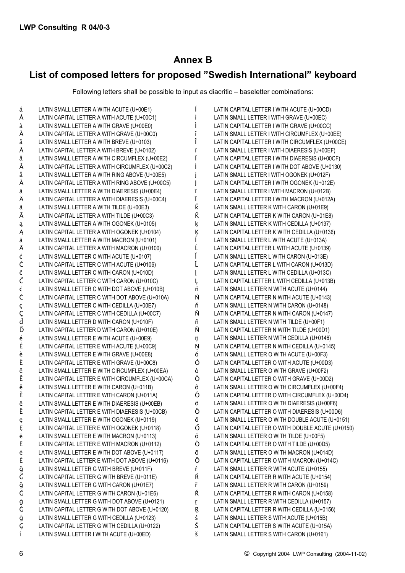# **Annex B**

# List of composed letters for proposed "Swedish International" keyboard

Following letters shall be possible to input as diacritic - baseletter combinations:

| á      | LATIN SMALL LETTER A WITH ACUTE (U+00E1)        |   | LATIN CAPITAL LETTER I WITH ACUTE (U+00CD)        |
|--------|-------------------------------------------------|---|---------------------------------------------------|
| Á      | LATIN CAPITAL LETTER A WITH ACUTE (U+00C1)      |   | LATIN SMALL LETTER I WITH GRAVE (U+00EC)          |
| à      | LATIN SMALL LETTER A WITH GRAVE (U+00E0)        |   | LATIN CAPITAL LETTER I WITH GRAVE (U+00CC)        |
| À      | LATIN CAPITAL LETTER A WITH GRAVE (U+00C0)      | î | LATIN SMALL LETTER I WITH CIRCUMFLEX (U+00EE)     |
| ă      | LATIN SMALL LETTER A WITH BREVE (U+0103)        |   | LATIN CAPITAL LETTER I WITH CIRCUMFLEX (U+00CE)   |
| Ă      | LATIN CAPITAL LETTER A WITH BREVE (U+0102)      | Ï | LATIN SMALL LETTER I WITH DIAERESIS (U+00EF)      |
| â      | LATIN SMALL LETTER A WITH CIRCUMFLEX (U+00E2)   |   | LATIN CAPITAL LETTER I WITH DIAERESIS (U+00CF)    |
| Â      | LATIN CAPITAL LETTER A WITH CIRCUMFLEX (U+00C2) |   | LATIN CAPITAL LETTER I WITH DOT ABOVE (U+0130)    |
| å      | LATIN SMALL LETTER A WITH RING ABOVE (U+00E5)   |   | LATIN SMALL LETTER I WITH OGONEK (U+012F)         |
| Å      | LATIN CAPITAL LETTER A WITH RING ABOVE (U+00C5) |   | LATIN CAPITAL LETTER I WITH OGONEK (U+012E)       |
| ä      | LATIN SMALL LETTER A WITH DIAERESIS (U+00E4)    |   | LATIN SMALL LETTER I WITH MACRON (U+012B)         |
| Ä      | LATIN CAPITAL LETTER A WITH DIAERESIS (U+00C4)  |   | LATIN CAPITAL LETTER I WITH MACRON (U+012A)       |
| ã      | LATIN SMALL LETTER A WITH TILDE (U+00E3)        | Ř | LATIN SMALL LETTER K WITH CARON (U+01E9)          |
| Ã      | LATIN CAPITAL LETTER A WITH TILDE (U+00C3)      | Ř | LATIN CAPITAL LETTER K WITH CARON (U+01E8)        |
|        | LATIN SMALL LETTER A WITH OGONEK (U+0105)       |   | LATIN SMALL LETTER K WITH CEDILLA (U+0137)        |
| ą      | LATIN CAPITAL LETTER A WITH OGONEK (U+0104)     | ķ | LATIN CAPITAL LETTER K WITH CEDILLA (U+0136)      |
| Ą      |                                                 | Ķ |                                                   |
| ā      | LATIN SMALL LETTER A WITH MACRON (U+0101)       |   | LATIN SMALL LETTER L WITH ACUTE (U+013A)          |
| Ā      | LATIN CAPITAL LETTER A WITH MACRON (U+0100)     |   | LATIN CAPITAL LETTER L WITH ACUTE (U+0139)        |
| ć      | LATIN SMALL LETTER C WITH ACUTE (U+0107)        |   | LATIN SMALL LETTER L WITH CARON (U+013E)          |
| Ć      | LATIN CAPITAL LETTER C WITH ACUTE (U+0106)      | Ľ | LATIN CAPITAL LETTER L WITH CARON (U+013D)        |
| č      | LATIN SMALL LETTER C WITH CARON (U+010D)        |   | LATIN SMALL LETTER L WITH CEDILLA (U+013C)        |
| Č      | LATIN CAPITAL LETTER C WITH CARON (U+010C)      | Ļ | LATIN CAPITAL LETTER L WITH CEDILLA (U+013B)      |
| Ċ      | LATIN SMALL LETTER C WITH DOT ABOVE (U+010B)    | ń | LATIN SMALL LETTER N WITH ACUTE (U+0144)          |
| Ċ      | LATIN CAPITAL LETTER C WITH DOT ABOVE (U+010A)  | Ń | LATIN CAPITAL LETTER N WITH ACUTE (U+0143)        |
| ç      | LATIN SMALL LETTER C WITH CEDILLA (U+00E7)      | ň | LATIN SMALL LETTER N WITH CARON (U+0148)          |
| Ç<br>ď | LATIN CAPITAL LETTER C WITH CEDILLA (U+00C7)    | Ň | LATIN CAPITAL LETTER N WITH CARON (U+0147)        |
|        | LATIN SMALL LETTER D WITH CARON (U+010F)        | ñ | LATIN SMALL LETTER N WITH TILDE (U+00F1)          |
| Ď      | LATIN CAPITAL LETTER D WITH CARON (U+010E)      | Ñ | LATIN CAPITAL LETTER N WITH TILDE (U+00D1)        |
| é      | LATIN SMALL LETTER E WITH ACUTE (U+00E9)        | ņ | LATIN SMALL LETTER N WITH CEDILLA (U+0146)        |
| É      | LATIN CAPITAL LETTER E WITH ACUTE (U+00C9)      | Ņ | LATIN CAPITAL LETTER N WITH CEDILLA (U+0145)      |
| è      | LATIN SMALL LETTER E WITH GRAVE (U+00E8)        | ó | LATIN SMALL LETTER O WITH ACUTE (U+00F3)          |
| È      | LATIN CAPITAL LETTER E WITH GRAVE (U+00C8)      | Ó | LATIN CAPITAL LETTER O WITH ACUTE (U+00D3)        |
| ê      | LATIN SMALL LETTER E WITH CIRCUMFLEX (U+00EA)   | ò | LATIN SMALL LETTER O WITH GRAVE (U+00F2)          |
| Ê      | LATIN CAPITAL LETTER E WITH CIRCUMFLEX (U+00CA) | Ò | LATIN CAPITAL LETTER O WITH GRAVE (U+00D2)        |
| ě      | LATIN SMALL LETTER E WITH CARON (U+011B)        | ô | LATIN SMALL LETTER O WITH CIRCUMFLEX (U+00F4)     |
| Ě      | LATIN CAPITAL LETTER E WITH CARON (U+011A)      | Ô | LATIN CAPITAL LETTER O WITH CIRCUMFLEX (U+00D4)   |
| ë      | LATIN SMALL LETTER E WITH DIAERESIS (U+00EB)    | Ö | LATIN SMALL LETTER O WITH DIAERESIS (U+00F6)      |
| Ë      | LATIN CAPITAL LETTER E WITH DIAERESIS (U+00CB)  | Ö | LATIN CAPITAL LETTER O WITH DIAERESIS (U+00D6)    |
| ę      | LATIN SMALL LETTER E WITH OGONEK (U+0119)       | ő | LATIN SMALL LETTER O WITH DOUBLE ACUTE (U+0151)   |
| Ę      | LATIN CAPITAL LETTER E WITH OGONEK (U+0118)     | Ő | LATIN CAPITAL LETTER O WITH DOUBLE ACUTE (U+0150) |
| ē      | LATIN SMALL LETTER E WITH MACRON (U+0113)       | õ | LATIN SMALL LETTER O WITH TILDE (U+00F5)          |
| Ē      | LATIN CAPITAL LETTER E WITH MACRON (U+0112)     | Õ | LATIN CAPITAL LETTER O WITH TILDE (U+00D5)        |
| ė      | LATIN SMALL LETTER E WITH DOT ABOVE (U+0117)    | ō | LATIN SMALL LETTER O WITH MACRON (U+014D)         |
| Ė      | LATIN CAPITAL LETTER E WITH DOT ABOVE (U+0116)  | Ō | LATIN CAPITAL LETTER O WITH MACRON (U+014C)       |
| ğ      | LATIN SMALL LETTER G WITH BREVE (U+011F)        | ŕ | LATIN SMALL LETTER R WITH ACUTE (U+0155)          |
| Ğ      | LATIN CAPITAL LETTER G WITH BREVE (U+011E)      | Ŕ | LATIN CAPITAL LETTER R WITH ACUTE (U+0154)        |
|        | LATIN SMALL LETTER G WITH CARON (U+01E7)        | ř | LATIN SMALL LETTER R WITH CARON (U+0159)          |
| ğ<br>Ğ | LATIN CAPITAL LETTER G WITH CARON (U+01E6)      | Ř | LATIN CAPITAL LETTER R WITH CARON (U+0158)        |
| ġ      | LATIN SMALL LETTER G WITH DOT ABOVE (U+0121)    | ŗ | LATIN SMALL LETTER R WITH CEDILLA (U+0157)        |
| Ġ      | LATIN CAPITAL LETTER G WITH DOT ABOVE (U+0120)  | Ŗ | LATIN CAPITAL LETTER R WITH CEDILLA (U+0156)      |
| ģ      | LATIN SMALL LETTER G WITH CEDILLA (U+0123)      | ś | LATIN SMALL LETTER S WITH ACUTE (U+015B)          |
| Ç      | LATIN CAPITAL LETTER G WITH CEDILLA (U+0122)    | Ś | LATIN CAPITAL LETTER S WITH ACUTE (U+015A)        |
| Ĺ      | LATIN SMALL LETTER I WITH ACUTE (U+00ED)        | š | LATIN SMALL LETTER S WITH CARON (U+0161)          |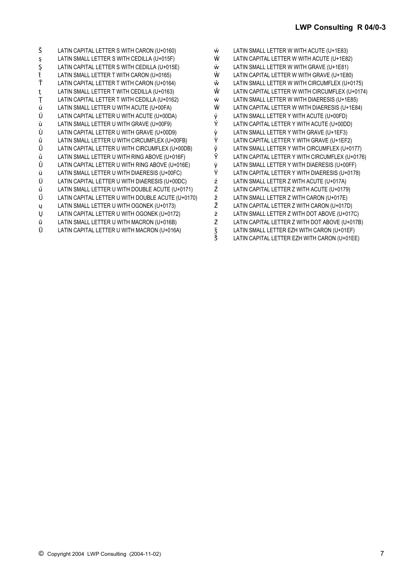| Š | LATIN CAPITAL LETTER S WITH CARON (U+0160)        |
|---|---------------------------------------------------|
| ş | LATIN SMALL LETTER S WITH CEDILLA (U+015F)        |
| Ş | LATIN CAPITAL LETTER S WITH CEDILLA (U+015E)      |
| ť | LATIN SMALL LETTER T WITH CARON (U+0165)          |
| Ť | LATIN CAPITAL LETTER T WITH CARON (U+0164)        |
| ţ | LATIN SMALL LETTER T WITH CEDILLA (U+0163)        |
| Ţ | LATIN CAPITAL LETTER T WITH CEDILLA (U+0162)      |
| ú | LATIN SMALL LETTER U WITH ACUTE (U+00FA)          |
| Ú | LATIN CAPITAL LETTER U WITH ACUTE (U+00DA)        |
| ù | LATIN SMALL LETTER U WITH GRAVE (U+00F9)          |
| Ù | LATIN CAPITAL LETTER U WITH GRAVE (U+00D9)        |
| û | LATIN SMALL LETTER U WITH CIRCUMFLEX (U+00FB)     |
| Û | LATIN CAPITAL LETTER U WITH CIRCUMFLEX (U+00DB)   |
| ů | LATIN SMALL LETTER U WITH RING ABOVE (U+016F)     |
| Ů | LATIN CAPITAL LETTER U WITH RING ABOVE (U+016E)   |
| ü | LATIN SMALL LETTER U WITH DIAERESIS (U+00FC)      |
| Ü | LATIN CAPITAL LETTER U WITH DIAERESIS (U+00DC)    |
| ű | LATIN SMALL LETTER U WITH DOUBLE ACUTE (U+0171)   |
| Ű | LATIN CAPITAL LETTER U WITH DOUBLE ACUTE (U+0170) |
| ų | LATIN SMALL LETTER U WITH OGONEK (U+0173)         |
| Ų | LATIN CAPITAL LETTER U WITH OGONEK (U+0172)       |
| ū | LATIN SMALL LETTER U WITH MACRON (U+016B)         |
| Ū | LATIN CAPITAL LETTER U WITH MACRON (U+016A)       |
|   |                                                   |

| ŵ      | LATIN SMALL LETTER W WITH ACUTE (U+1E83)        |
|--------|-------------------------------------------------|
| Ŵ      | LATIN CAPITAL LETTER W WITH ACUTE (U+1E82)      |
| Ŵ      | LATIN SMALL LETTER W WITH GRAVE (U+1E81)        |
| Ŵ      | LATIN CAPITAL LETTER W WITH GRAVE (U+1E80)      |
| ŵ      | LATIN SMALL LETTER W WITH CIRCUMFLEX (U+0175)   |
| Ŵ      | LATIN CAPITAL LETTER W WITH CIRCUMFLEX (U+0174) |
| Ŵ      | LATIN SMALL LETTER W WITH DIAERESIS (U+1E85)    |
| Ŵ      | LATIN CAPITAL LETTER W WITH DIAERESIS (U+1E84)  |
| ý      | LATIN SMALL LETTER Y WITH ACUTE (U+00FD)        |
| Ý      | LATIN CAPITAL LETTER Y WITH ACUTE (U+00DD)      |
| ý<br>Ý | LATIN SMALL LETTER Y WITH GRAVE (U+1EF3)        |
|        | LATIN CAPITAL LETTER Y WITH GRAVE (U+1EF2)      |
| ŷ<br>Ŷ | LATIN SMALL LETTER Y WITH CIRCUMFLEX (U+0177)   |
|        | LATIN CAPITAL LETTER Y WITH CIRCUMFLEX (U+0176) |
| ÿ      | LATIN SMALL LETTER Y WITH DIAERESIS (U+00FF)    |
| Ÿ      | LATIN CAPITAL LETTER Y WITH DIAERESIS (U+0178)  |
| ź      | LATIN SMALL LETTER Z WITH ACUTE (U+017A)        |
| Ź      | LATIN CAPITAL LETTER Z WITH ACUTE (U+0179)      |
| ž      | LATIN SMALL LETTER Z WITH CARON (U+017E)        |
| Ž      | LATIN CAPITAL LETTER Z WITH CARON (U+017D)      |
| ż      | LATIN SMALL LETTER Z WITH DOT ABOVE (U+017C)    |
| Ż      | LATIN CAPITAL LETTER Z WITH DOT ABOVE (U+017B)  |
| Š<br>Š | LATIN SMALL LETTER EZH WITH CARON (U+01EF)      |
|        | LATIN CAPITAL LETTER EZH WITH CARON (U+01EE)    |

LATIN CAPITAL LETTER EZH WITH CARON (U+01EE)